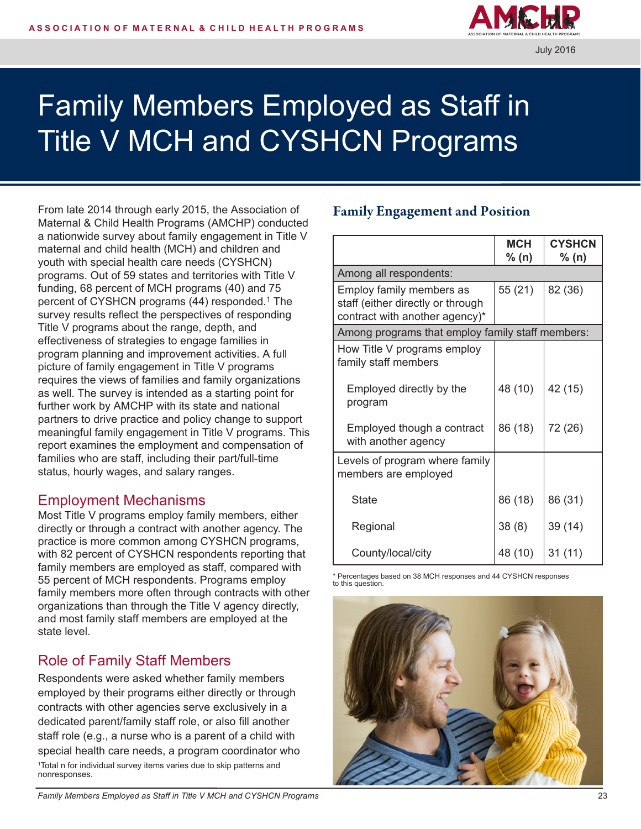

# Family Members Employed as Staff in Title V MCH and CYSHCN Programs

From late 2014 through early 2015, the Association of Maternal & Child Health Programs (AMCHP) conducted a nationwide survey about family engagement in Title V maternal and child health (MCH) and children and youth with special health care needs (CYSHCN) programs. Out of 59 states and territories with Title V funding, 68 percent of MCH programs (40) and 75 percent of CYSHCN programs (44) responded.<sup>1</sup> The survey results reflect the perspectives of responding Title V programs about the range, depth, and effectiveness of strategies to engage families in program planning and improvement activities. A full picture of family engagement in Title V programs requires the views of families and family organizations as well. The survey is intended as a starting point for further work by AMCHP with its state and national partners to drive practice and policy change to support meaningful family engagement in Title V programs. This report examines the employment and compensation of families who are staff, including their part/full-time status, hourly wages, and salary ranges.

### Employment Mechanisms

Most Title V programs employ family members, either directly or through a contract with another agency. The practice is more common among CYSHCN programs, with 82 percent of CYSHCN respondents reporting that family members are employed as staff, compared with 55 percent of MCH respondents. Programs employ family members more often through contracts with other organizations than through the Title V agency directly, and most family staff members are employed at the state level.

# Role of Family Staff Members

Respondents were asked whether family members employed by their programs either directly or through contracts with other agencies serve exclusively in a dedicated parent/family staff role, or also fill another staff role (e.g., a nurse who is a parent of a child with special health care needs, a program coordinator who <sup>1</sup>Total n for individual survey items varies due to skip patterns and nonresponses.

#### Family **Engagement** and Position

|                                                        | <b>MCH</b> | <b>CYSHCN</b> |  |  |
|--------------------------------------------------------|------------|---------------|--|--|
|                                                        | % (n)      | % (n)         |  |  |
| Among all respondents:                                 |            |               |  |  |
| Employ family members as                               | 55 (21)    | 82 (36)       |  |  |
| staff (either directly or through                      |            |               |  |  |
| contract with another agency)*                         |            |               |  |  |
| Among programs that employ family staff members:       |            |               |  |  |
| How Title V programs employ<br>family staff members    |            |               |  |  |
| Employed directly by the<br>program                    | 48 (10)    | 42 (15)       |  |  |
| Employed though a contract<br>with another agency      | 86 (18)    | 72 (26)       |  |  |
| Levels of program where family<br>members are employed |            |               |  |  |
| <b>State</b>                                           | 86 (18)    | 86 (31)       |  |  |
| Regional                                               | 38(8)      | 39 (14)       |  |  |
| County/local/city                                      | 48 (10)    | 31(11)        |  |  |

\* Percentages based on 38 MCH responses and 44 CYSHCN responses to this question.

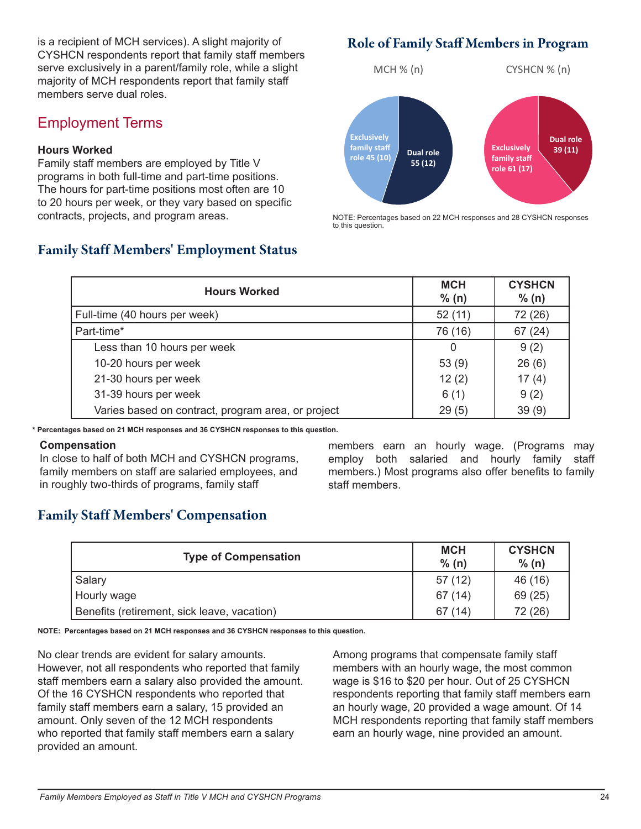is a recipient of MCH services). A slight majority of CYSHCN respondents report that family staff members serve exclusively in a parent/family role, while a slight majority of MCH respondents report that family staff members serve dual roles.

## Employment Terms

#### **Hours Worked**

Family staff members are employed by Title V programs in both full-time and part-time positions. The hours for part-time positions most often are 10 to 20 hours per week, or they vary based on specific contracts, projects, and program areas.

## Family **Staff Members' Employment Status**

### Role of Family Staff Members in Program



NOTE: Percentages based on 22 MCH responses and 28 CYSHCN responses to this question.

| <b>Hours Worked</b>                                | <b>MCH</b><br>% (n) | <b>CYSHCN</b><br>% (n) |
|----------------------------------------------------|---------------------|------------------------|
| Full-time (40 hours per week)                      | 52(11)              | 72 (26)                |
| Part-time*                                         | 76 (16)             | 67(24)                 |
| Less than 10 hours per week                        | 0                   | 9(2)                   |
| 10-20 hours per week                               | 53(9)               | 26(6)                  |
| 21-30 hours per week                               | 12(2)               | 17(4)                  |
| 31-39 hours per week                               | 6(1)                | 9(2)                   |
| Varies based on contract, program area, or project | 29(5)               | 39(9)                  |

**\* Percentages based on 21 MCH responses and 36 CYSHCN responses to this question.**

#### **Compensation**

In close to half of both MCH and CYSHCN programs, family members on staff are salaried employees, and in roughly two-thirds of programs, family staff

members earn an hourly wage. (Programs may employ both salaried and hourly family staff members.) Most programs also offer benefits to family staff members.

# Family **Staff Members' Compensation**

| <b>Type of Compensation</b>                 | <b>MCH</b><br>% (n) | <b>CYSHCN</b><br>% (n) |
|---------------------------------------------|---------------------|------------------------|
| Salary                                      | 57(12)              | 46 (16)                |
| Hourly wage                                 | 67 (14)             | 69 (25)                |
| Benefits (retirement, sick leave, vacation) | 67(14)              | 72 (26)                |

**NOTE: Percentages based on 21 MCH responses and 36 CYSHCN responses to this question.**

No clear trends are evident for salary amounts. However, not all respondents who reported that family staff members earn a salary also provided the amount. Of the 16 CYSHCN respondents who reported that family staff members earn a salary, 15 provided an amount. Only seven of the 12 MCH respondents who reported that family staff members earn a salary provided an amount.

Among programs that compensate family staff members with an hourly wage, the most common wage is \$16 to \$20 per hour. Out of 25 CYSHCN respondents reporting that family staff members earn an hourly wage, 20 provided a wage amount. Of 14 MCH respondents reporting that family staff members earn an hourly wage, nine provided an amount.